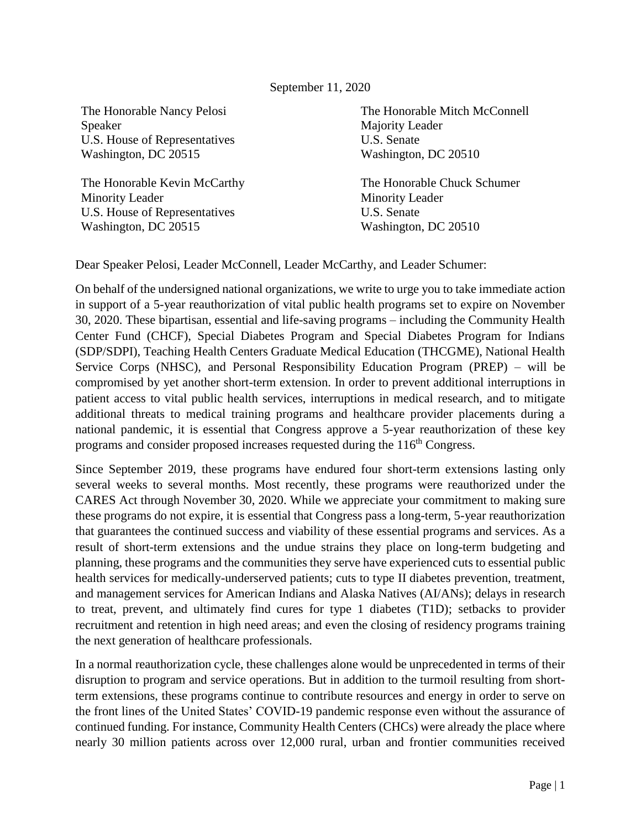## September 11, 2020

The Honorable Nancy Pelosi Speaker U.S. House of Representatives Washington, DC 20515

The Honorable Kevin McCarthy Minority Leader U.S. House of Representatives Washington, DC 20515

The Honorable Mitch McConnell Majority Leader U.S. Senate Washington, DC 20510

The Honorable Chuck Schumer Minority Leader U.S. Senate Washington, DC 20510

Dear Speaker Pelosi, Leader McConnell, Leader McCarthy, and Leader Schumer:

On behalf of the undersigned national organizations, we write to urge you to take immediate action in support of a 5-year reauthorization of vital public health programs set to expire on November 30, 2020. These bipartisan, essential and life-saving programs – including the Community Health Center Fund (CHCF), Special Diabetes Program and Special Diabetes Program for Indians (SDP/SDPI), Teaching Health Centers Graduate Medical Education (THCGME), National Health Service Corps (NHSC), and Personal Responsibility Education Program (PREP) – will be compromised by yet another short-term extension. In order to prevent additional interruptions in patient access to vital public health services, interruptions in medical research, and to mitigate additional threats to medical training programs and healthcare provider placements during a national pandemic, it is essential that Congress approve a 5-year reauthorization of these key programs and consider proposed increases requested during the 116<sup>th</sup> Congress.

Since September 2019, these programs have endured four short-term extensions lasting only several weeks to several months. Most recently, these programs were reauthorized under the CARES Act through November 30, 2020. While we appreciate your commitment to making sure these programs do not expire, it is essential that Congress pass a long-term, 5-year reauthorization that guarantees the continued success and viability of these essential programs and services. As a result of short-term extensions and the undue strains they place on long-term budgeting and planning, these programs and the communities they serve have experienced cuts to essential public health services for medically-underserved patients; cuts to type II diabetes prevention, treatment, and management services for American Indians and Alaska Natives (AI/ANs); delays in research to treat, prevent, and ultimately find cures for type 1 diabetes (T1D); setbacks to provider recruitment and retention in high need areas; and even the closing of residency programs training the next generation of healthcare professionals.

In a normal reauthorization cycle, these challenges alone would be unprecedented in terms of their disruption to program and service operations. But in addition to the turmoil resulting from shortterm extensions, these programs continue to contribute resources and energy in order to serve on the front lines of the United States' COVID-19 pandemic response even without the assurance of continued funding. For instance, Community Health Centers (CHCs) were already the place where nearly 30 million patients across over 12,000 rural, urban and frontier communities received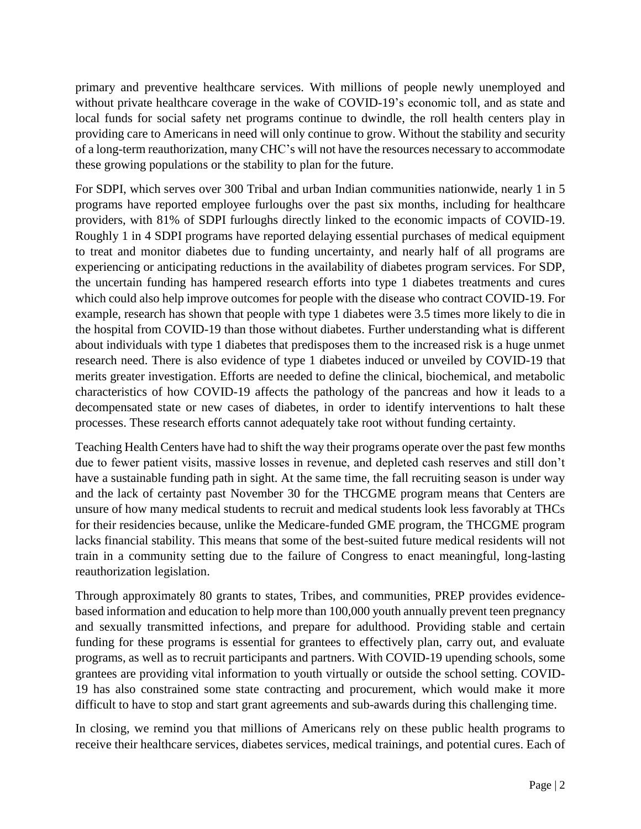primary and preventive healthcare services. With millions of people newly unemployed and without private healthcare coverage in the wake of COVID-19's economic toll, and as state and local funds for social safety net programs continue to dwindle, the roll health centers play in providing care to Americans in need will only continue to grow. Without the stability and security of a long-term reauthorization, many CHC's will not have the resources necessary to accommodate these growing populations or the stability to plan for the future.

For SDPI, which serves over 300 Tribal and urban Indian communities nationwide, nearly 1 in 5 programs have reported employee furloughs over the past six months, including for healthcare providers, with 81% of SDPI furloughs directly linked to the economic impacts of COVID-19. Roughly 1 in 4 SDPI programs have reported delaying essential purchases of medical equipment to treat and monitor diabetes due to funding uncertainty, and nearly half of all programs are experiencing or anticipating reductions in the availability of diabetes program services. For SDP, the uncertain funding has hampered research efforts into type 1 diabetes treatments and cures which could also help improve outcomes for people with the disease who contract COVID-19. For example, research has shown that people with type 1 diabetes were 3.5 times more likely to die in the hospital from COVID-19 than those without diabetes. Further understanding what is different about individuals with type 1 diabetes that predisposes them to the increased risk is a huge unmet research need. There is also evidence of type 1 diabetes induced or unveiled by COVID-19 that merits greater investigation. Efforts are needed to define the clinical, biochemical, and metabolic characteristics of how COVID-19 affects the pathology of the pancreas and how it leads to a decompensated state or new cases of diabetes, in order to identify interventions to halt these processes. These research efforts cannot adequately take root without funding certainty.

Teaching Health Centers have had to shift the way their programs operate over the past few months due to fewer patient visits, massive losses in revenue, and depleted cash reserves and still don't have a sustainable funding path in sight. At the same time, the fall recruiting season is under way and the lack of certainty past November 30 for the THCGME program means that Centers are unsure of how many medical students to recruit and medical students look less favorably at THCs for their residencies because, unlike the Medicare-funded GME program, the THCGME program lacks financial stability. This means that some of the best-suited future medical residents will not train in a community setting due to the failure of Congress to enact meaningful, long-lasting reauthorization legislation.

Through approximately 80 grants to states, Tribes, and communities, PREP provides evidencebased information and education to help more than 100,000 youth annually prevent teen pregnancy and sexually transmitted infections, and prepare for adulthood. Providing stable and certain funding for these programs is essential for grantees to effectively plan, carry out, and evaluate programs, as well as to recruit participants and partners. With COVID-19 upending schools, some grantees are providing vital information to youth virtually or outside the school setting. COVID-19 has also constrained some state contracting and procurement, which would make it more difficult to have to stop and start grant agreements and sub-awards during this challenging time.

In closing, we remind you that millions of Americans rely on these public health programs to receive their healthcare services, diabetes services, medical trainings, and potential cures. Each of